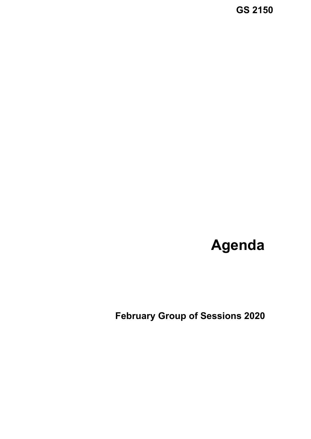**GS 2150**

# **Agenda**

 **February Group of Sessions 2020**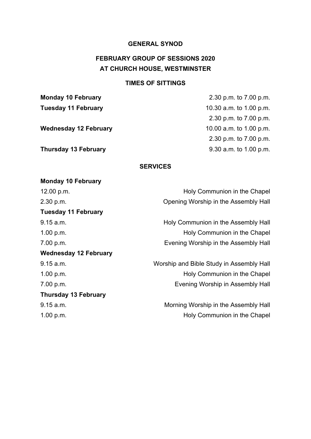### **GENERAL SYNOD**

# **FEBRUARY GROUP OF SESSIONS 2020 AT CHURCH HOUSE, WESTMINSTER**

#### **TIMES OF SITTINGS**

**Monday 10 February** 

**Monday 10 February** 2.30 p.m. to 7.00 p.m. **Tuesday 11 February 10.30 a.m. to 1.00 p.m.** 2.30 p.m. to 7.00 p.m. **Wednesday 12 February** 10.00 a.m. to 1.00 p.m. 2.30 p.m. to 7.00 p.m. **Thursday 13 February** 9.30 a.m. to 1.00 p.m.

#### **SERVICES**

| 12.00 p.m.                   | Holy Communion in the Chapel             |
|------------------------------|------------------------------------------|
| 2.30 p.m.                    | Opening Worship in the Assembly Hall     |
| <b>Tuesday 11 February</b>   |                                          |
| 9.15 a.m.                    | Holy Communion in the Assembly Hall      |
| 1.00 p.m.                    | Holy Communion in the Chapel             |
| 7.00 p.m.                    | Evening Worship in the Assembly Hall     |
| <b>Wednesday 12 February</b> |                                          |
| 9.15 a.m.                    | Worship and Bible Study in Assembly Hall |
| 1.00 p.m.                    | Holy Communion in the Chapel             |
| 7.00 p.m.                    | Evening Worship in Assembly Hall         |
| <b>Thursday 13 February</b>  |                                          |
| 9.15 a.m.                    | Morning Worship in the Assembly Hall     |
| 1.00 p.m.                    | Holy Communion in the Chapel             |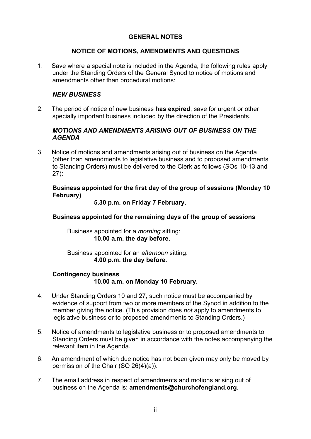### **GENERAL NOTES**

### **NOTICE OF MOTIONS, AMENDMENTS AND QUESTIONS**

1. Save where a special note is included in the Agenda, the following rules apply under the Standing Orders of the General Synod to notice of motions and amendments other than procedural motions:

### *NEW BUSINESS*

2. The period of notice of new business **has expired**, save for urgent or other specially important business included by the direction of the Presidents.

### *MOTIONS AND AMENDMENTS ARISING OUT OF BUSINESS ON THE AGENDA*

3. Notice of motions and amendments arising out of business on the Agenda (other than amendments to legislative business and to proposed amendments to Standing Orders) must be delivered to the Clerk as follows (SOs 10-13 and 27):

### **Business appointed for the first day of the group of sessions (Monday 10 February)**

### **5.30 p.m. on Friday 7 February.**

### **Business appointed for the remaining days of the group of sessions**

Business appointed for a *morning* sitting:  **10.00 a.m. the day before.** 

Business appointed for an *afternoon* sitting:  **4.00 p.m. the day before.**

### **Contingency business 10.00 a.m. on Monday 10 February.**

- 4. Under Standing Orders 10 and 27, such notice must be accompanied by evidence of support from two or more members of the Synod in addition to the member giving the notice. (This provision does *not* apply to amendments to legislative business or to proposed amendments to Standing Orders.)
- 5. Notice of amendments to legislative business or to proposed amendments to Standing Orders must be given in accordance with the notes accompanying the relevant item in the Agenda.
- 6. An amendment of which due notice has not been given may only be moved by permission of the Chair (SO 26(4)(a)).
- 7. The email address in respect of amendments and motions arising out of business on the Agenda is: **amendments@churchofengland.org**.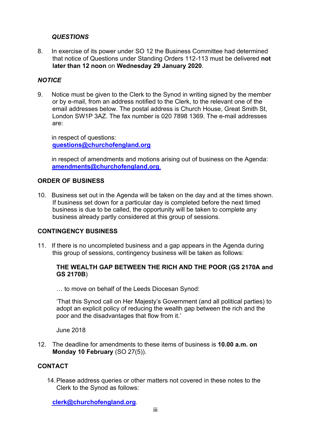#### *QUESTIONS*

8. In exercise of its power under SO 12 the Business Committee had determined that notice of Questions under Standing Orders 112-113 must be delivered **not later than 12 noon** on **Wednesday 29 January 2020**.

#### *NOTICE*

9. Notice must be given to the Clerk to the Synod in writing signed by the member or by e-mail, from an address notified to the Clerk, to the relevant one of the email addresses below. The postal address is Church House, Great Smith St, London SW1P 3AZ. The fax number is 020 7898 1369. The e-mail addresses are:

 in respect of questions: **questions@churchofengland.org**

 in respect of amendments and motions arising out of business on the Agenda: **amendments@churchofengland.org**.

#### **ORDER OF BUSINESS**

10. Business set out in the Agenda will be taken on the day and at the times shown. If business set down for a particular day is completed before the next timed business is due to be called, the opportunity will be taken to complete any business already partly considered at this group of sessions.

#### **CONTINGENCY BUSINESS**

11. If there is no uncompleted business and a gap appears in the Agenda during this group of sessions, contingency business will be taken as follows:

#### **THE WEALTH GAP BETWEEN THE RICH AND THE POOR (GS 2170A and GS 2170B**)

… to move on behalf of the Leeds Diocesan Synod:

'That this Synod call on Her Majesty's Government (and all political parties) to adopt an explicit policy of reducing the wealth gap between the rich and the poor and the disadvantages that flow from it.'

June 2018

12. The deadline for amendments to these items of business is **10.00 a.m. on Monday 10 February** (SO 27(5)).

### **CONTACT**

14. Please address queries or other matters not covered in these notes to the Clerk to the Synod as follows:

 **clerk@churchofengland.org**.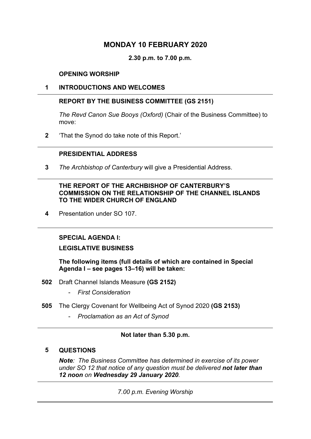### **MONDAY 10 FEBRUARY 2020**

**2.30 p.m. to 7.00 p.m.** 

#### **OPENING WORSHIP**

#### **1 INTRODUCTIONS AND WELCOMES**

#### **REPORT BY THE BUSINESS COMMITTEE (GS 2151)**

*The Revd Canon Sue Booys (Oxford)* (Chair of the Business Committee) to move:

**2** 'That the Synod do take note of this Report.'

### **PRESIDENTIAL ADDRESS**

**3** *The Archbishop of Canterbury* will give a Presidential Address.

#### **THE REPORT OF THE ARCHBISHOP OF CANTERBURY'S COMMISSION ON THE RELATIONSHIP OF THE CHANNEL ISLANDS TO THE WIDER CHURCH OF ENGLAND**

**4** Presentation under SO 107.

#### **SPECIAL AGENDA I:**

### **LEGISLATIVE BUSINESS**

 **The following items (full details of which are contained in Special Agenda I – see pages 13–16) will be taken:** 

- **502** Draft Channel Islands Measure **(GS 2152)** 
	- *First Consideration*
- **505** The Clergy Covenant for Wellbeing Act of Synod 2020 **(GS 2153)** 
	- *Proclamation as an Act of Synod*

#### **Not later than 5.30 p.m.**

#### **5 QUESTIONS**

*Note: The Business Committee has determined in exercise of its power under SO 12 that notice of any question must be delivered not later than 12 noon on Wednesday 29 January 2020.*

*7.00 p.m. Evening Worship*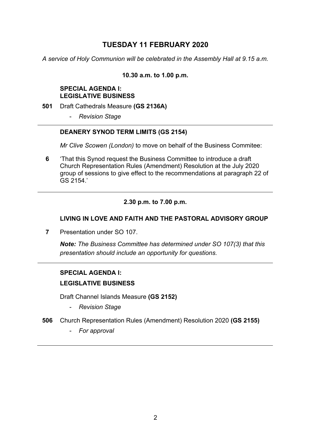### **TUESDAY 11 FEBRUARY 2020**

*A service of Holy Communion will be celebrated in the Assembly Hall at 9.15 a.m.* 

#### **10.30 a.m. to 1.00 p.m.**

#### **SPECIAL AGENDA I: LEGISLATIVE BUSINESS**

- **501** Draft Cathedrals Measure **(GS 2136A)**
	- *Revision Stage*

#### **DEANERY SYNOD TERM LIMITS (GS 2154)**

*Mr Clive Scowen (London)* to move on behalf of the Business Commitee:

**6** 'That this Synod request the Business Committee to introduce a draft Church Representation Rules (Amendment) Resolution at the July 2020 group of sessions to give effect to the recommendations at paragraph 22 of GS 2154.'

### **2.30 p.m. to 7.00 p.m.**

### **LIVING IN LOVE AND FAITH AND THE PASTORAL ADVISORY GROUP**

**7** Presentation under SO 107

*Note: The Business Committee has determined under SO 107(3) that this presentation should include an opportunity for questions.*

### **SPECIAL AGENDA I: LEGISLATIVE BUSINESS**

Draft Channel Islands Measure **(GS 2152)** 

- *Revision Stage*
- **506** Church Representation Rules (Amendment) Resolution 2020 **(GS 2155)** 
	- *For approval*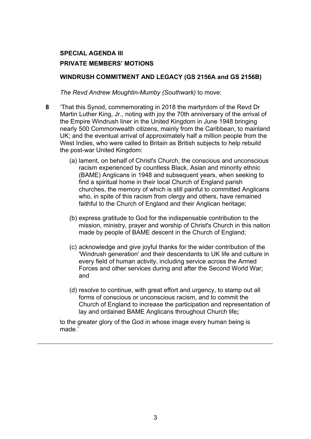### **WINDRUSH COMMITMENT AND LEGACY (GS 2156A and GS 2156B)**

*The Revd Andrew Moughtin-Mumby (Southwark)* to move:

- **8** 'That this Synod, commemorating in 2018 the martyrdom of the Revd Dr Martin Luther King, Jr., noting with joy the 70th anniversary of the arrival of the Empire Windrush liner in the United Kingdom in June 1948 bringing nearly 500 Commonwealth citizens, mainly from the Caribbean, to mainland UK; and the eventual arrival of approximately half a million people from the West Indies, who were called to Britain as British subjects to help rebuild the post-war United Kingdom:
	- (a) lament, on behalf of Christ's Church, the conscious and unconscious racism experienced by countless Black, Asian and minority ethnic (BAME) Anglicans in 1948 and subsequent years, when seeking to find a spiritual home in their local Church of England parish churches, the memory of which is still painful to committed Anglicans who, in spite of this racism from clergy and others, have remained faithful to the Church of England and their Anglican heritage;
	- (b) express gratitude to God for the indispensable contribution to the mission, ministry, prayer and worship of Christ's Church in this nation made by people of BAME descent in the Church of England;
	- (c) acknowledge and give joyful thanks for the wider contribution of the 'Windrush generation' and their descendants to UK life and culture in every field of human activity, including service across the Armed Forces and other services during and after the Second World War; and
	- (d) resolve to continue, with great effort and urgency, to stamp out all forms of conscious or unconscious racism, and to commit the Church of England to increase the participation and representation of lay and ordained BAME Anglicans throughout Church life**;**

to the greater glory of the God in whose image every human being is made.'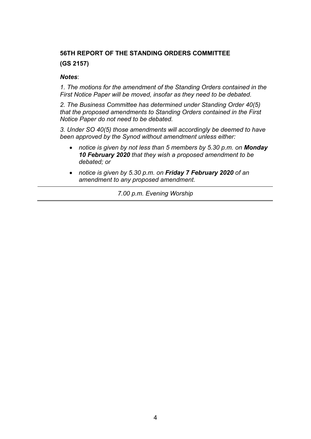# **56TH REPORT OF THE STANDING ORDERS COMMITTEE (GS 2157)**

#### *Notes*:

*1. The motions for the amendment of the Standing Orders contained in the First Notice Paper will be moved, insofar as they need to be debated.* 

*2. The Business Committee has determined under Standing Order 40(5) that the proposed amendments to Standing Orders contained in the First Notice Paper do not need to be debated.* 

*3. Under SO 40(5) those amendments will accordingly be deemed to have been approved by the Synod without amendment unless either:* 

- *notice is given by not less than 5 members by 5.30 p.m. on Monday 10 February 2020 that they wish a proposed amendment to be debated; or*
- *notice is given by 5.30 p.m. on Friday 7 February 2020 of an amendment to any proposed amendment.*

*7.00 p.m. Evening Worship*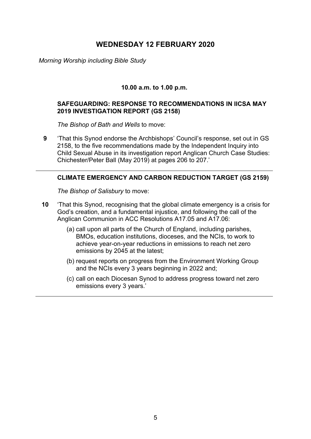### **WEDNESDAY 12 FEBRUARY 2020**

*Morning Worship including Bible Study* 

### **10.00 a.m. to 1.00 p.m.**

#### **SAFEGUARDING: RESPONSE TO RECOMMENDATIONS IN IICSA MAY 2019 INVESTIGATION REPORT (GS 2158)**

*The Bishop of Bath and Wells* to move:

**9** 'That this Synod endorse the Archbishops' Council's response, set out in GS 2158, to the five recommendations made by the Independent Inquiry into Child Sexual Abuse in its investigation report Anglican Church Case Studies: Chichester/Peter Ball (May 2019) at pages 206 to 207.'

#### **CLIMATE EMERGENCY AND CARBON REDUCTION TARGET (GS 2159)**

*The Bishop of Salisbury* to move:

- **10** 'That this Synod, recognising that the global climate emergency is a crisis for God's creation, and a fundamental injustice, and following the call of the Anglican Communion in ACC Resolutions A17.05 and A17.06:
	- (a) call upon all parts of the Church of England, including parishes, BMOs, education institutions, dioceses, and the NCIs, to work to achieve year-on-year reductions in emissions to reach net zero emissions by 2045 at the latest;
	- (b) request reports on progress from the Environment Working Group and the NCIs every 3 years beginning in 2022 and;
	- (c) call on each Diocesan Synod to address progress toward net zero emissions every 3 years.'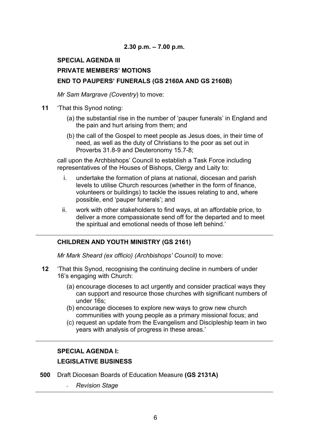### **2.30 p.m. – 7.00 p.m.**

# **SPECIAL AGENDA III PRIVATE MEMBERS' MOTIONS END TO PAUPERS' FUNERALS (GS 2160A AND GS 2160B)**

*Mr Sam Margrave (Coventry*) to move:

- **11** 'That this Synod noting:
	- (a) the substantial rise in the number of 'pauper funerals' in England and the pain and hurt arising from them; and
	- (b) the call of the Gospel to meet people as Jesus does, in their time of need, as well as the duty of Christians to the poor as set out in Proverbs 31.8-9 and Deuteronomy 15.7-8;

call upon the Archbishops' Council to establish a Task Force including representatives of the Houses of Bishops, Clergy and Laity to:

- i. undertake the formation of plans at national, diocesan and parish levels to utilise Church resources (whether in the form of finance, volunteers or buildings) to tackle the issues relating to and, where possible, end 'pauper funerals'; and
- ii. work with other stakeholders to find ways, at an affordable price, to deliver a more compassionate send off for the departed and to meet the spiritual and emotional needs of those left behind.'

#### **CHILDREN AND YOUTH MINISTRY (GS 2161)**

*Mr Mark Sheard (ex officio) (Archbishops' Council)* to move:

- **12** 'That this Synod, recognising the continuing decline in numbers of under 16's engaging with Church:
	- (a) encourage dioceses to act urgently and consider practical ways they can support and resource those churches with significant numbers of under 16s;
	- (b) encourage dioceses to explore new ways to grow new church communities with young people as a primary missional focus; and
	- (c) request an update from the Evangelism and Discipleship team in two years with analysis of progress in these areas.'

### **SPECIAL AGENDA I:**

### **LEGISLATIVE BUSINESS**

- **500** Draft Diocesan Boards of Education Measure **(GS 2131A)**
	- *Revision Stage*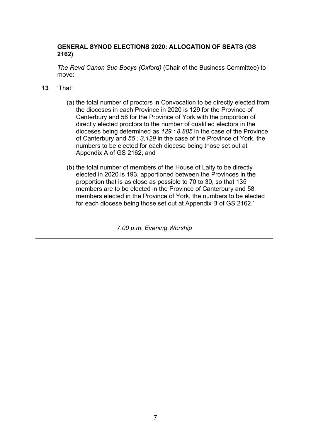### **GENERAL SYNOD ELECTIONS 2020: ALLOCATION OF SEATS (GS 2162)**

*The Revd Canon Sue Booys (Oxford)* (Chair of the Business Committee) to move:

- **13** 'That:
	- (a) the total number of proctors in Convocation to be directly elected from the dioceses in each Province in 2020 is 129 for the Province of Canterbury and 56 for the Province of York with the proportion of directly elected proctors to the number of qualified electors in the dioceses being determined as *129 : 8,885* in the case of the Province of Canterbury and *55 : 3,129* in the case of the Province of York, the numbers to be elected for each diocese being those set out at Appendix A of GS 2162; and
	- (b) the total number of members of the House of Laity to be directly elected in 2020 is 193, apportioned between the Provinces in the proportion that is as close as possible to 70 to 30, so that 135 members are to be elected in the Province of Canterbury and 58 members elected in the Province of York, the numbers to be elected for each diocese being those set out at Appendix B of GS 2162.'

*7.00 p.m. Evening Worship*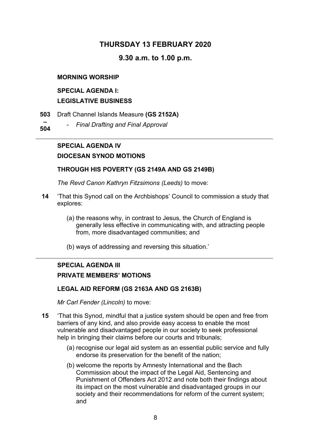### **THURSDAY 13 FEBRUARY 2020**

### **9.30 a.m. to 1.00 p.m.**

#### **MORNING WORSHIP**

### **SPECIAL AGENDA I: LEGISLATIVE BUSINESS**

- **503**  Draft Channel Islands Measure **(GS 2152A)**
- **504**  - *Final Drafting and Final Approval*

### **SPECIAL AGENDA IV**

### **DIOCESAN SYNOD MOTIONS**

#### **THROUGH HIS POVERTY (GS 2149A AND GS 2149B)**

*The Revd Canon Kathryn Fitzsimons (Leeds)* to move:

- **14** 'That this Synod call on the Archbishops' Council to commission a study that explores:
	- (a) the reasons why, in contrast to Jesus, the Church of England is generally less effective in communicating with, and attracting people from, more disadvantaged communities; and
	- (b) ways of addressing and reversing this situation.'

## **SPECIAL AGENDA III PRIVATE MEMBERS' MOTIONS**

#### **LEGAL AID REFORM (GS 2163A AND GS 2163B)**

*Mr Carl Fender (Lincoln)* to move:

- **15** 'That this Synod, mindful that a justice system should be open and free from barriers of any kind, and also provide easy access to enable the most vulnerable and disadvantaged people in our society to seek professional help in bringing their claims before our courts and tribunals;
	- (a) recognise our legal aid system as an essential public service and fully endorse its preservation for the benefit of the nation;
	- (b) welcome the reports by Amnesty International and the Bach Commission about the impact of the Legal Aid, Sentencing and Punishment of Offenders Act 2012 and note both their findings about its impact on the most vulnerable and disadvantaged groups in our society and their recommendations for reform of the current system; and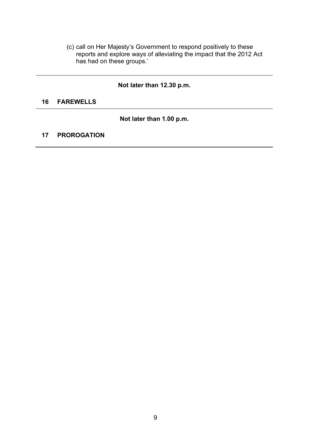(c) call on Her Majesty's Government to respond positively to these reports and explore ways of alleviating the impact that the 2012 Act has had on these groups.'

### **Not later than 12.30 p.m.**

#### **16 FAREWELLS**

**Not later than 1.00 p.m.** 

### **17 PROROGATION**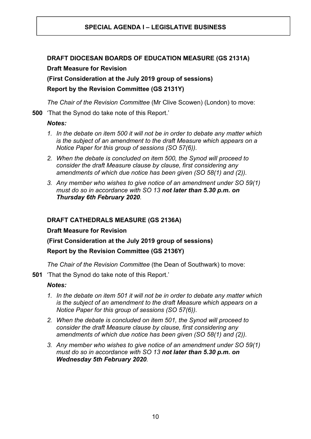### **DRAFT DIOCESAN BOARDS OF EDUCATION MEASURE (GS 2131A) Draft Measure for Revision**

**(First Consideration at the July 2019 group of sessions)** 

### **Report by the Revision Committee (GS 2131Y)**

*The Chair of the Revision Committee* (Mr Clive Scowen) (London) to move:

**500** 'That the Synod do take note of this Report.'

### *Notes:*

- *1. In the debate on item 500 it will not be in order to debate any matter which is the subject of an amendment to the draft Measure which appears on a Notice Paper for this group of sessions (SO 57(6)).*
- *2. When the debate is concluded on item 500, the Synod will proceed to consider the draft Measure clause by clause, first considering any amendments of which due notice has been given (SO 58(1) and (2)).*
- *3. Any member who wishes to give notice of an amendment under SO 59(1) must do so in accordance with SO 13 not later than 5.30 p.m. on Thursday 6th February 2020.*

### **DRAFT CATHEDRALS MEASURE (GS 2136A)**

### **Draft Measure for Revision**

### **(First Consideration at the July 2019 group of sessions)**

### **Report by the Revision Committee (GS 2136Y)**

*The Chair of the Revision Committee* (the Dean of Southwark) to move:

**501** 'That the Synod do take note of this Report.'

### *Notes:*

- *1. In the debate on item 501 it will not be in order to debate any matter which is the subject of an amendment to the draft Measure which appears on a Notice Paper for this group of sessions (SO 57(6)).*
- *2. When the debate is concluded on item 501, the Synod will proceed to consider the draft Measure clause by clause, first considering any amendments of which due notice has been given (SO 58(1) and (2)).*
- *3. Any member who wishes to give notice of an amendment under SO 59(1) must do so in accordance with SO 13 not later than 5.30 p.m. on Wednesday 5th February 2020.*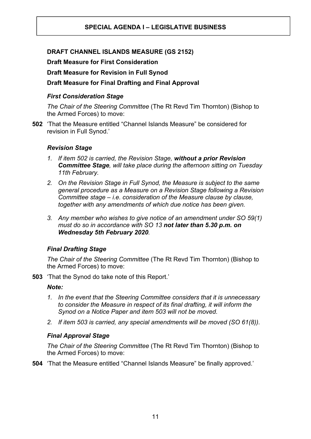### **DRAFT CHANNEL ISLANDS MEASURE (GS 2152)**

**Draft Measure for First Consideration** 

**Draft Measure for Revision in Full Synod** 

### **Draft Measure for Final Drafting and Final Approval**

### *First Consideration Stage*

*The Chair of the Steering Committee* (The Rt Revd Tim Thornton) (Bishop to the Armed Forces) to move:

**502** 'That the Measure entitled "Channel Islands Measure" be considered for revision in Full Synod.'

#### *Revision Stage*

- *1. If item 502 is carried, the Revision Stage, without a prior Revision Committee Stage, will take place during the afternoon sitting on Tuesday 11th February.*
- *2. On the Revision Stage in Full Synod, the Measure is subject to the same general procedure as a Measure on a Revision Stage following a Revision Committee stage – i.e. consideration of the Measure clause by clause, together with any amendments of which due notice has been given.*
- *3. Any member who wishes to give notice of an amendment under SO 59(1) must do so in accordance with SO 13 not later than 5.30 p.m. on Wednesday 5th February 2020.*

#### *Final Drafting Stage*

*The Chair of the Steering Committee* (The Rt Revd Tim Thornton) (Bishop to the Armed Forces) to move:

**503** 'That the Synod do take note of this Report.'

#### *Note:*

- *1. In the event that the Steering Committee considers that it is unnecessary to consider the Measure in respect of its final drafting, it will inform the Synod on a Notice Paper and item 503 will not be moved.*
- *2. If item 503 is carried, any special amendments will be moved (SO 61(8)).*

#### *Final Approval Stage*

*The Chair of the Steering Committee* (The Rt Revd Tim Thornton) (Bishop to the Armed Forces) to move:

**504** 'That the Measure entitled "Channel Islands Measure" be finally approved.'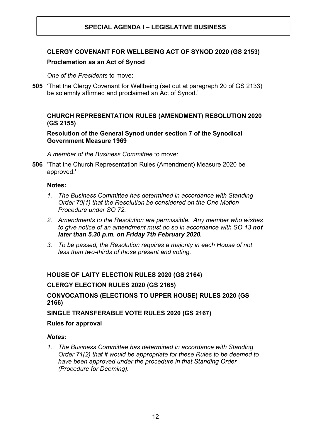### **CLERGY COVENANT FOR WELLBEING ACT OF SYNOD 2020 (GS 2153)**

#### **Proclamation as an Act of Synod**

*One of the Presidents* to move:

**505** 'That the Clergy Covenant for Wellbeing (set out at paragraph 20 of GS 2133) be solemnly affirmed and proclaimed an Act of Synod.'

### **CHURCH REPRESENTATION RULES (AMENDMENT) RESOLUTION 2020 (GS 2155)**

#### **Resolution of the General Synod under section 7 of the Synodical Government Measure 1969**

*A member of the Business Committee* to move:

**506** 'That the Church Representation Rules (Amendment) Measure 2020 be approved.'

#### **Notes:**

- *1. The Business Committee has determined in accordance with Standing Order 70(1) that the Resolution be considered on the One Motion Procedure under SO 72.*
- *2. Amendments to the Resolution are permissible. Any member who wishes to give notice of an amendment must do so in accordance with SO 13 not later than 5.30 p.m. on Friday 7th February 2020.*
- *3. To be passed, the Resolution requires a majority in each House of not less than two-thirds of those present and voting.*

#### **HOUSE OF LAITY ELECTION RULES 2020 (GS 2164)**

#### **CLERGY ELECTION RULES 2020 (GS 2165)**

### **CONVOCATIONS (ELECTIONS TO UPPER HOUSE) RULES 2020 (GS 2166)**

**SINGLE TRANSFERABLE VOTE RULES 2020 (GS 2167)** 

#### **Rules for approval**

#### *Notes:*

*1. The Business Committee has determined in accordance with Standing Order 71(2) that it would be appropriate for these Rules to be deemed to have been approved under the procedure in that Standing Order (Procedure for Deeming).*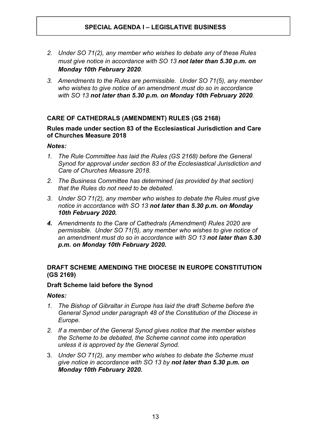- *2. Under SO 71(2), any member who wishes to debate any of these Rules must give notice in accordance with SO 13 not later than 5.30 p.m. on Monday 10th February 2020.*
- *3. Amendments to the Rules are permissible. Under SO 71(5), any member who wishes to give notice of an amendment must do so in accordance with SO 13 not later than 5.30 p.m. on Monday 10th February 2020.*

### **CARE OF CATHEDRALS (AMENDMENT) RULES (GS 2168)**

#### **Rules made under section 83 of the Ecclesiastical Jurisdiction and Care of Churches Measure 2018**

### *Notes:*

- *1. The Rule Committee has laid the Rules (GS 2168) before the General Synod for approval under section 83 of the Ecclesiastical Jurisdiction and Care of Churches Measure 2018.*
- *2. The Business Committee has determined (as provided by that section) that the Rules do not need to be debated.*
- *3. Under SO 71(2), any member who wishes to debate the Rules must give notice in accordance with SO 13 not later than 5.30 p.m. on Monday 10th February 2020.*
- *4. Amendments to the Care of Cathedrals (Amendment) Rules 2020 are permissible. Under SO 71(5), any member who wishes to give notice of an amendment must do so in accordance with SO 13 not later than 5.30 p.m. on Monday 10th February 2020.*

### **DRAFT SCHEME AMENDING THE DIOCESE IN EUROPE CONSTITUTION (GS 2169)**

#### **Draft Scheme laid before the Synod**

#### *Notes:*

- *1. The Bishop of Gibraltar in Europe has laid the draft Scheme before the General Synod under paragraph 48 of the Constitution of the Diocese in Europe.*
- *2. If a member of the General Synod gives notice that the member wishes the Scheme to be debated, the Scheme cannot come into operation unless it is approved by the General Synod.*
- 3. *Under SO 71(2), any member who wishes to debate the Scheme must give notice in accordance with SO 13 by not later than 5.30 p.m. on Monday 10th February 2020.*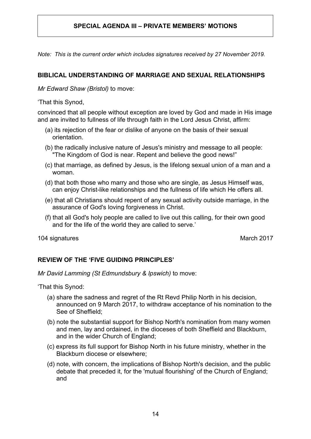*Note: This is the current order which includes signatures received by 27 November 2019.* 

### **BIBLICAL UNDERSTANDING OF MARRIAGE AND SEXUAL RELATIONSHIPS**

*Mr Edward Shaw (Bristol)* to move:

'That this Synod,

convinced that all people without exception are loved by God and made in His image and are invited to fullness of life through faith in the Lord Jesus Christ, affirm:

- (a) its rejection of the fear or dislike of anyone on the basis of their sexual orientation.
- (b) the radically inclusive nature of Jesus's ministry and message to all people: "The Kingdom of God is near. Repent and believe the good news!"
- (c) that marriage, as defined by Jesus, is the lifelong sexual union of a man and a woman.
- (d) that both those who marry and those who are single, as Jesus Himself was, can enjoy Christ-like relationships and the fullness of life which He offers all.
- (e) that all Christians should repent of any sexual activity outside marriage, in the assurance of God's loving forgiveness in Christ.
- (f) that all God's holy people are called to live out this calling, for their own good and for the life of the world they are called to serve.'

104 signatures March 2017

### **REVIEW OF THE 'FIVE GUIDING PRINCIPLES'**

*Mr David Lamming (St Edmundsbury & Ipswich)* to move:

'That this Synod:

- (a) share the sadness and regret of the Rt Revd Philip North in his decision, announced on 9 March 2017, to withdraw acceptance of his nomination to the See of Sheffield;
- (b) note the substantial support for Bishop North's nomination from many women and men, lay and ordained, in the dioceses of both Sheffield and Blackburn, and in the wider Church of England;
- (c) express its full support for Bishop North in his future ministry, whether in the Blackburn diocese or elsewhere;
- (d) note, with concern, the implications of Bishop North's decision, and the public debate that preceded it, for the 'mutual flourishing' of the Church of England; and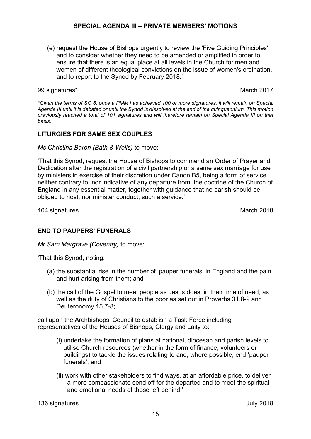(e) request the House of Bishops urgently to review the 'Five Guiding Principles' and to consider whether they need to be amended or amplified in order to ensure that there is an equal place at all levels in the Church for men and women of different theological convictions on the issue of women's ordination, and to report to the Synod by February 2018.'

99 signatures\* March 2017

*\*Given the terms of SO 6, once a PMM has achieved 100 or more signatures, it will remain on Special Agenda III until it is debated or until the Synod is dissolved at the end of the quinquennium. This motion previously reached a total of 101 signatures and will therefore remain on Special Agenda III on that basis.* 

### **LITURGIES FOR SAME SEX COUPLES**

*Ms Christina Baron (Bath & Wells)* to move:

'That this Synod, request the House of Bishops to commend an Order of Prayer and Dedication after the registration of a civil partnership or a same sex marriage for use by ministers in exercise of their discretion under Canon B5, being a form of service neither contrary to, nor indicative of any departure from, the doctrine of the Church of England in any essential matter, together with guidance that no parish should be obliged to host, nor minister conduct, such a service.'

104 signatures March 2018

### **END TO PAUPERS' FUNERALS**

*Mr Sam Margrave (Coventry)* to move:

'That this Synod, noting:

- (a) the substantial rise in the number of 'pauper funerals' in England and the pain and hurt arising from them; and
- (b) the call of the Gospel to meet people as Jesus does, in their time of need, as well as the duty of Christians to the poor as set out in Proverbs 31.8-9 and Deuteronomy 15.7-8;

call upon the Archbishops' Council to establish a Task Force including representatives of the Houses of Bishops, Clergy and Laity to:

- (i) undertake the formation of plans at national, diocesan and parish levels to utilise Church resources (whether in the form of finance, volunteers or buildings) to tackle the issues relating to and, where possible, end 'pauper funerals'; and
- (ii) work with other stakeholders to find ways, at an affordable price, to deliver a more compassionate send off for the departed and to meet the spiritual and emotional needs of those left behind.'

136 signatures July 2018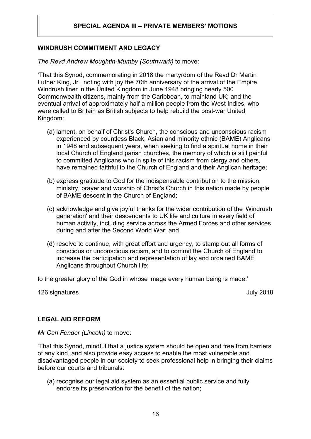#### **WINDRUSH COMMITMENT AND LEGACY**

*The Revd Andrew Moughtin-Mumby (Southwark)* to move:

'That this Synod, commemorating in 2018 the martyrdom of the Revd Dr Martin Luther King, Jr., noting with joy the 70th anniversary of the arrival of the Empire Windrush liner in the United Kingdom in June 1948 bringing nearly 500 Commonwealth citizens, mainly from the Caribbean, to mainland UK; and the eventual arrival of approximately half a million people from the West Indies, who were called to Britain as British subjects to help rebuild the post-war United Kingdom:

- (a) lament, on behalf of Christ's Church, the conscious and unconscious racism experienced by countless Black, Asian and minority ethnic (BAME) Anglicans in 1948 and subsequent years, when seeking to find a spiritual home in their local Church of England parish churches, the memory of which is still painful to committed Anglicans who in spite of this racism from clergy and others, have remained faithful to the Church of England and their Anglican heritage;
- (b) express gratitude to God for the indispensable contribution to the mission, ministry, prayer and worship of Christ's Church in this nation made by people of BAME descent in the Church of England;
- (c) acknowledge and give joyful thanks for the wider contribution of the 'Windrush generation' and their descendants to UK life and culture in every field of human activity, including service across the Armed Forces and other services during and after the Second World War; and
- (d) resolve to continue, with great effort and urgency, to stamp out all forms of conscious or unconscious racism, and to commit the Church of England to increase the participation and representation of lay and ordained BAME Anglicans throughout Church life;

to the greater glory of the God in whose image every human being is made.'

126 signatures July 2018

#### **LEGAL AID REFORM**

*Mr Carl Fender (Lincoln)* to move:

'That this Synod, mindful that a justice system should be open and free from barriers of any kind, and also provide easy access to enable the most vulnerable and disadvantaged people in our society to seek professional help in bringing their claims before our courts and tribunals:

(a) recognise our legal aid system as an essential public service and fully endorse its preservation for the benefit of the nation;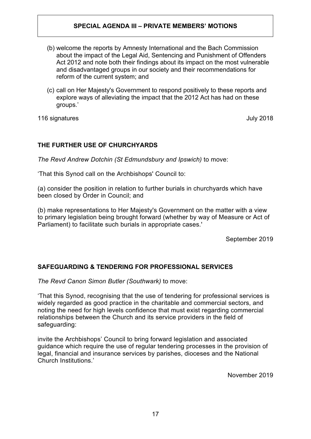- (b) welcome the reports by Amnesty International and the Bach Commission about the impact of the Legal Aid, Sentencing and Punishment of Offenders Act 2012 and note both their findings about its impact on the most vulnerable and disadvantaged groups in our society and their recommendations for reform of the current system; and
- (c) call on Her Majesty's Government to respond positively to these reports and explore ways of alleviating the impact that the 2012 Act has had on these groups.'

116 signatures July 2018

### **THE FURTHER USE OF CHURCHYARDS**

*The Revd Andrew Dotchin (St Edmundsbury and Ipswich)* to move:

'That this Synod call on the Archbishops' Council to:

(a) consider the position in relation to further burials in churchyards which have been closed by Order in Council; and

(b) make representations to Her Majesty's Government on the matter with a view to primary legislation being brought forward (whether by way of Measure or Act of Parliament) to facilitate such burials in appropriate cases.'

September 2019

### **SAFEGUARDING & TENDERING FOR PROFESSIONAL SERVICES**

*The Revd Canon Simon Butler (Southwark)* to move:

'That this Synod, recognising that the use of tendering for professional services is widely regarded as good practice in the charitable and commercial sectors, and noting the need for high levels confidence that must exist regarding commercial relationships between the Church and its service providers in the field of safeguarding:

invite the Archbishops' Council to bring forward legislation and associated guidance which require the use of regular tendering processes in the provision of legal, financial and insurance services by parishes, dioceses and the National Church Institutions.'

November 2019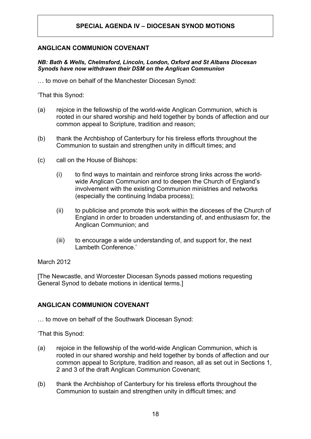### **ANGLICAN COMMUNION COVENANT**

#### *NB: Bath & Wells, Chelmsford, Lincoln, London, Oxford and St Albans Diocesan Synods have now withdrawn their DSM on the Anglican Communion*

… to move on behalf of the Manchester Diocesan Synod:

'That this Synod:

- (a) rejoice in the fellowship of the world-wide Anglican Communion, which is rooted in our shared worship and held together by bonds of affection and our common appeal to Scripture, tradition and reason;
- (b) thank the Archbishop of Canterbury for his tireless efforts throughout the Communion to sustain and strengthen unity in difficult times; and
- (c) call on the House of Bishops:
	- (i) to find ways to maintain and reinforce strong links across the worldwide Anglican Communion and to deepen the Church of England's involvement with the existing Communion ministries and networks (especially the continuing Indaba process);
	- (ii) to publicise and promote this work within the dioceses of the Church of England in order to broaden understanding of, and enthusiasm for, the Anglican Communion; and
	- (iii) to encourage a wide understanding of, and support for, the next Lambeth Conference.'

#### March 2012

[The Newcastle, and Worcester Diocesan Synods passed motions requesting General Synod to debate motions in identical terms.]

#### **ANGLICAN COMMUNION COVENANT**

… to move on behalf of the Southwark Diocesan Synod:

'That this Synod:

- (a) rejoice in the fellowship of the world-wide Anglican Communion, which is rooted in our shared worship and held together by bonds of affection and our common appeal to Scripture, tradition and reason, all as set out in Sections 1, 2 and 3 of the draft Anglican Communion Covenant;
- (b) thank the Archbishop of Canterbury for his tireless efforts throughout the Communion to sustain and strengthen unity in difficult times; and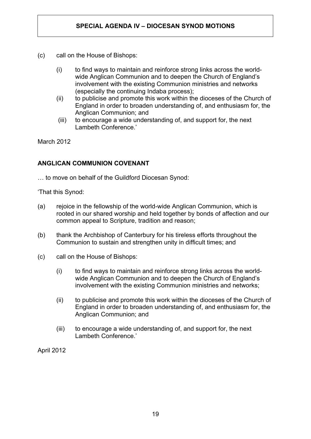- (c) call on the House of Bishops:
	- (i) to find ways to maintain and reinforce strong links across the worldwide Anglican Communion and to deepen the Church of England's involvement with the existing Communion ministries and networks (especially the continuing Indaba process);
	- (ii) to publicise and promote this work within the dioceses of the Church of England in order to broaden understanding of, and enthusiasm for, the Anglican Communion; and
	- (iii) to encourage a wide understanding of, and support for, the next Lambeth Conference.'

March 2012

### **ANGLICAN COMMUNION COVENANT**

… to move on behalf of the Guildford Diocesan Synod:

'That this Synod:

- (a) rejoice in the fellowship of the world-wide Anglican Communion, which is rooted in our shared worship and held together by bonds of affection and our common appeal to Scripture, tradition and reason;
- (b) thank the Archbishop of Canterbury for his tireless efforts throughout the Communion to sustain and strengthen unity in difficult times; and
- (c) call on the House of Bishops:
	- (i) to find ways to maintain and reinforce strong links across the worldwide Anglican Communion and to deepen the Church of England's involvement with the existing Communion ministries and networks;
	- (ii) to publicise and promote this work within the dioceses of the Church of England in order to broaden understanding of, and enthusiasm for, the Anglican Communion; and
	- (iii) to encourage a wide understanding of, and support for, the next Lambeth Conference.'

April 2012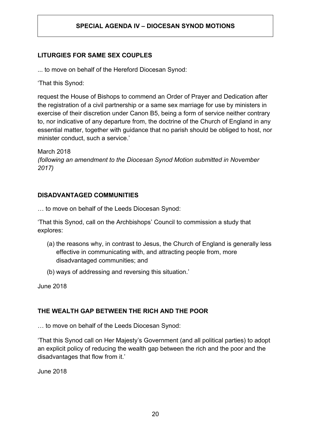### **LITURGIES FOR SAME SEX COUPLES**

... to move on behalf of the Hereford Diocesan Synod:

'That this Synod:

request the House of Bishops to commend an Order of Prayer and Dedication after the registration of a civil partnership or a same sex marriage for use by ministers in exercise of their discretion under Canon B5, being a form of service neither contrary to, nor indicative of any departure from, the doctrine of the Church of England in any essential matter, together with guidance that no parish should be obliged to host, nor minister conduct, such a service.'

March 2018 *(following an amendment to the Diocesan Synod Motion submitted in November 2017)* 

### **DISADVANTAGED COMMUNITIES**

… to move on behalf of the Leeds Diocesan Synod:

'That this Synod, call on the Archbishops' Council to commission a study that explores:

- (a) the reasons why, in contrast to Jesus, the Church of England is generally less effective in communicating with, and attracting people from, more disadvantaged communities; and
- (b) ways of addressing and reversing this situation.'

June 2018

### **THE WEALTH GAP BETWEEN THE RICH AND THE POOR**

… to move on behalf of the Leeds Diocesan Synod:

'That this Synod call on Her Majesty's Government (and all political parties) to adopt an explicit policy of reducing the wealth gap between the rich and the poor and the disadvantages that flow from it.'

June 2018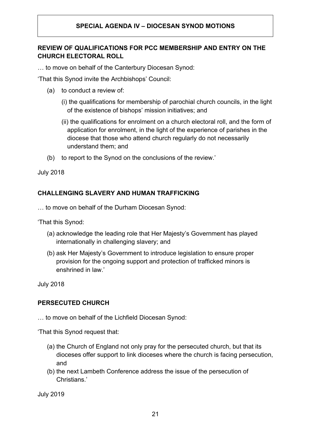### **REVIEW OF QUALIFICATIONS FOR PCC MEMBERSHIP AND ENTRY ON THE CHURCH ELECTORAL ROLL**

… to move on behalf of the Canterbury Diocesan Synod:

'That this Synod invite the Archbishops' Council:

- (a) to conduct a review of:
	- (i) the qualifications for membership of parochial church councils, in the light of the existence of bishops' mission initiatives; and
	- (ii) the qualifications for enrolment on a church electoral roll, and the form of application for enrolment, in the light of the experience of parishes in the diocese that those who attend church regularly do not necessarily understand them; and
- (b) to report to the Synod on the conclusions of the review.'

July 2018

### **CHALLENGING SLAVERY AND HUMAN TRAFFICKING**

… to move on behalf of the Durham Diocesan Synod:

'That this Synod:

- (a) acknowledge the leading role that Her Majesty's Government has played internationally in challenging slavery; and
- (b) ask Her Majesty's Government to introduce legislation to ensure proper provision for the ongoing support and protection of trafficked minors is enshrined in law'

July 2018

### **PERSECUTED CHURCH**

… to move on behalf of the Lichfield Diocesan Synod:

'That this Synod request that:

- (a) the Church of England not only pray for the persecuted church, but that its dioceses offer support to link dioceses where the church is facing persecution, and
- (b) the next Lambeth Conference address the issue of the persecution of Christians.'

July 2019